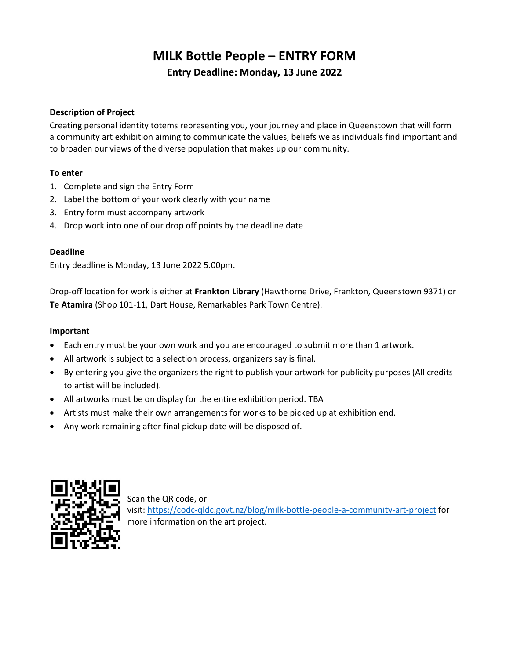# MILK Bottle People – ENTRY FORM Entry Deadline: Monday, 13 June 2022

## Description of Project

Creating personal identity totems representing you, your journey and place in Queenstown that will form a community art exhibition aiming to communicate the values, beliefs we as individuals find important and to broaden our views of the diverse population that makes up our community.

### To enter

- 1. Complete and sign the Entry Form
- 2. Label the bottom of your work clearly with your name
- 3. Entry form must accompany artwork
- 4. Drop work into one of our drop off points by the deadline date

#### Deadline

Entry deadline is Monday, 13 June 2022 5.00pm.

Drop-off location for work is either at Frankton Library (Hawthorne Drive, Frankton, Queenstown 9371) or Te Atamira (Shop 101-11, Dart House, Remarkables Park Town Centre).

#### Important

- Each entry must be your own work and you are encouraged to submit more than 1 artwork.
- All artwork is subject to a selection process, organizers say is final.
- By entering you give the organizers the right to publish your artwork for publicity purposes (All credits to artist will be included).
- All artworks must be on display for the entire exhibition period. TBA
- Artists must make their own arrangements for works to be picked up at exhibition end.
- Any work remaining after final pickup date will be disposed of.



Scan the QR code, or visit: https://codc-qldc.govt.nz/blog/milk-bottle-people-a-community-art-project for more information on the art project.